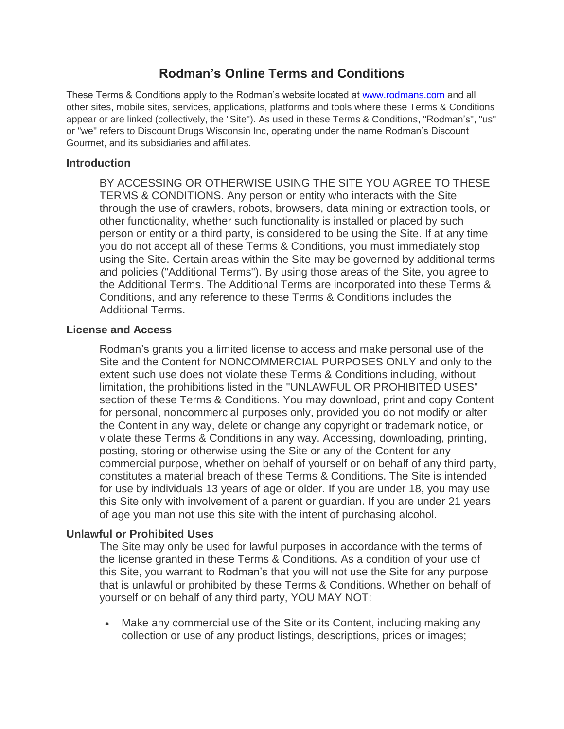# **Rodman's Online Terms and Conditions**

These Terms & Conditions apply to the Rodman's website located at [www.rodmans.com](http://www.rodmans.com/) and all other sites, mobile sites, services, applications, platforms and tools where these Terms & Conditions appear or are linked (collectively, the "Site"). As used in these Terms & Conditions, "Rodman's", "us" or "we" refers to Discount Drugs Wisconsin Inc, operating under the name Rodman's Discount Gourmet, and its subsidiaries and affiliates.

### **Introduction**

BY ACCESSING OR OTHERWISE USING THE SITE YOU AGREE TO THESE TERMS & CONDITIONS. Any person or entity who interacts with the Site through the use of crawlers, robots, browsers, data mining or extraction tools, or other functionality, whether such functionality is installed or placed by such person or entity or a third party, is considered to be using the Site. If at any time you do not accept all of these Terms & Conditions, you must immediately stop using the Site. Certain areas within the Site may be governed by additional terms and policies ("Additional Terms"). By using those areas of the Site, you agree to the Additional Terms. The Additional Terms are incorporated into these Terms & Conditions, and any reference to these Terms & Conditions includes the Additional Terms.

### **License and Access**

Rodman's grants you a limited license to access and make personal use of the Site and the Content for NONCOMMERCIAL PURPOSES ONLY and only to the extent such use does not violate these Terms & Conditions including, without limitation, the prohibitions listed in the "UNLAWFUL OR PROHIBITED USES" section of these Terms & Conditions. You may download, print and copy Content for personal, noncommercial purposes only, provided you do not modify or alter the Content in any way, delete or change any copyright or trademark notice, or violate these Terms & Conditions in any way. Accessing, downloading, printing, posting, storing or otherwise using the Site or any of the Content for any commercial purpose, whether on behalf of yourself or on behalf of any third party, constitutes a material breach of these Terms & Conditions. The Site is intended for use by individuals 13 years of age or older. If you are under 18, you may use this Site only with involvement of a parent or guardian. If you are under 21 years of age you man not use this site with the intent of purchasing alcohol.

# **Unlawful or Prohibited Uses**

The Site may only be used for lawful purposes in accordance with the terms of the license granted in these Terms & Conditions. As a condition of your use of this Site, you warrant to Rodman's that you will not use the Site for any purpose that is unlawful or prohibited by these Terms & Conditions. Whether on behalf of yourself or on behalf of any third party, YOU MAY NOT:

 Make any commercial use of the Site or its Content, including making any collection or use of any product listings, descriptions, prices or images;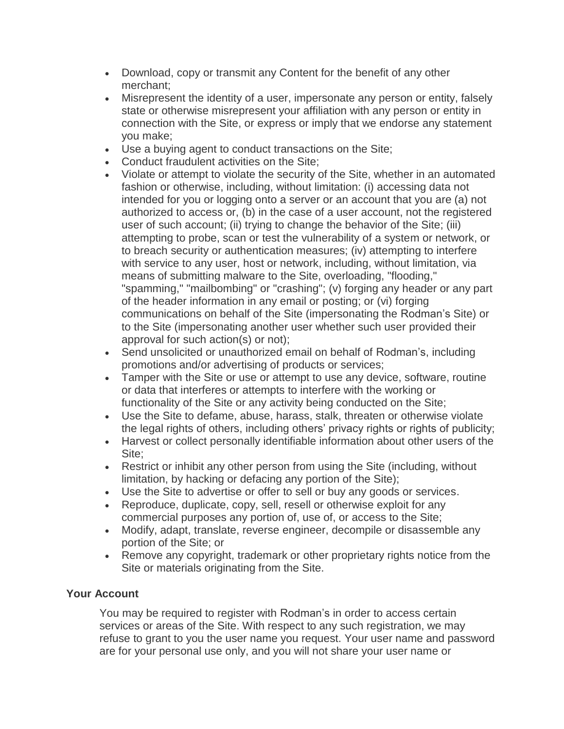- Download, copy or transmit any Content for the benefit of any other merchant;
- Misrepresent the identity of a user, impersonate any person or entity, falsely state or otherwise misrepresent your affiliation with any person or entity in connection with the Site, or express or imply that we endorse any statement you make;
- Use a buying agent to conduct transactions on the Site;
- Conduct fraudulent activities on the Site;
- Violate or attempt to violate the security of the Site, whether in an automated fashion or otherwise, including, without limitation: (i) accessing data not intended for you or logging onto a server or an account that you are (a) not authorized to access or, (b) in the case of a user account, not the registered user of such account; (ii) trying to change the behavior of the Site; (iii) attempting to probe, scan or test the vulnerability of a system or network, or to breach security or authentication measures; (iv) attempting to interfere with service to any user, host or network, including, without limitation, via means of submitting malware to the Site, overloading, "flooding," "spamming," "mailbombing" or "crashing"; (v) forging any header or any part of the header information in any email or posting; or (vi) forging communications on behalf of the Site (impersonating the Rodman's Site) or to the Site (impersonating another user whether such user provided their approval for such action(s) or not);
- Send unsolicited or unauthorized email on behalf of Rodman's, including promotions and/or advertising of products or services;
- Tamper with the Site or use or attempt to use any device, software, routine or data that interferes or attempts to interfere with the working or functionality of the Site or any activity being conducted on the Site;
- Use the Site to defame, abuse, harass, stalk, threaten or otherwise violate the legal rights of others, including others' privacy rights or rights of publicity;
- Harvest or collect personally identifiable information about other users of the Site;
- Restrict or inhibit any other person from using the Site (including, without limitation, by hacking or defacing any portion of the Site);
- Use the Site to advertise or offer to sell or buy any goods or services.
- Reproduce, duplicate, copy, sell, resell or otherwise exploit for any commercial purposes any portion of, use of, or access to the Site;
- Modify, adapt, translate, reverse engineer, decompile or disassemble any portion of the Site; or
- Remove any copyright, trademark or other proprietary rights notice from the Site or materials originating from the Site.

# **Your Account**

You may be required to register with Rodman's in order to access certain services or areas of the Site. With respect to any such registration, we may refuse to grant to you the user name you request. Your user name and password are for your personal use only, and you will not share your user name or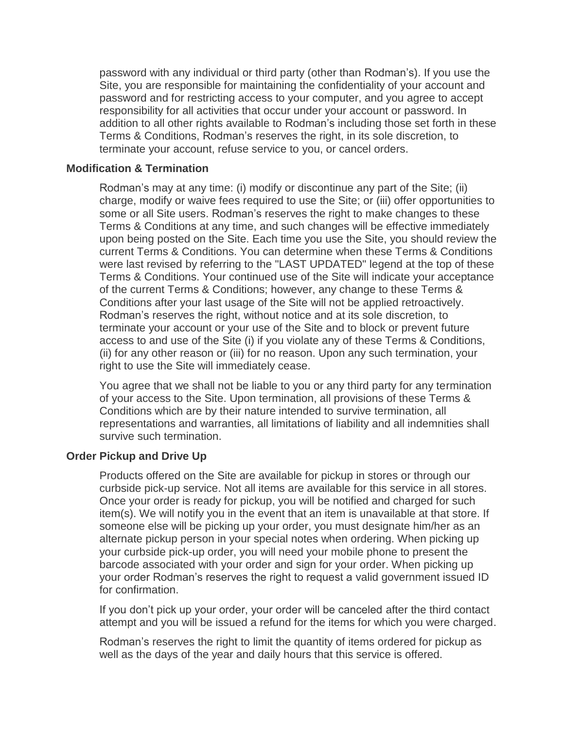password with any individual or third party (other than Rodman's). If you use the Site, you are responsible for maintaining the confidentiality of your account and password and for restricting access to your computer, and you agree to accept responsibility for all activities that occur under your account or password. In addition to all other rights available to Rodman's including those set forth in these Terms & Conditions, Rodman's reserves the right, in its sole discretion, to terminate your account, refuse service to you, or cancel orders.

#### **Modification & Termination**

Rodman's may at any time: (i) modify or discontinue any part of the Site; (ii) charge, modify or waive fees required to use the Site; or (iii) offer opportunities to some or all Site users. Rodman's reserves the right to make changes to these Terms & Conditions at any time, and such changes will be effective immediately upon being posted on the Site. Each time you use the Site, you should review the current Terms & Conditions. You can determine when these Terms & Conditions were last revised by referring to the "LAST UPDATED" legend at the top of these Terms & Conditions. Your continued use of the Site will indicate your acceptance of the current Terms & Conditions; however, any change to these Terms & Conditions after your last usage of the Site will not be applied retroactively. Rodman's reserves the right, without notice and at its sole discretion, to terminate your account or your use of the Site and to block or prevent future access to and use of the Site (i) if you violate any of these Terms & Conditions, (ii) for any other reason or (iii) for no reason. Upon any such termination, your right to use the Site will immediately cease.

You agree that we shall not be liable to you or any third party for any termination of your access to the Site. Upon termination, all provisions of these Terms & Conditions which are by their nature intended to survive termination, all representations and warranties, all limitations of liability and all indemnities shall survive such termination.

### **Order Pickup and Drive Up**

Products offered on the Site are available for pickup in stores or through our curbside pick-up service. Not all items are available for this service in all stores. Once your order is ready for pickup, you will be notified and charged for such item(s). We will notify you in the event that an item is unavailable at that store. If someone else will be picking up your order, you must designate him/her as an alternate pickup person in your special notes when ordering. When picking up your curbside pick-up order, you will need your mobile phone to present the barcode associated with your order and sign for your order. When picking up your order Rodman's reserves the right to request a valid government issued ID for confirmation.

If you don't pick up your order, your order will be canceled after the third contact attempt and you will be issued a refund for the items for which you were charged.

Rodman's reserves the right to limit the quantity of items ordered for pickup as well as the days of the year and daily hours that this service is offered.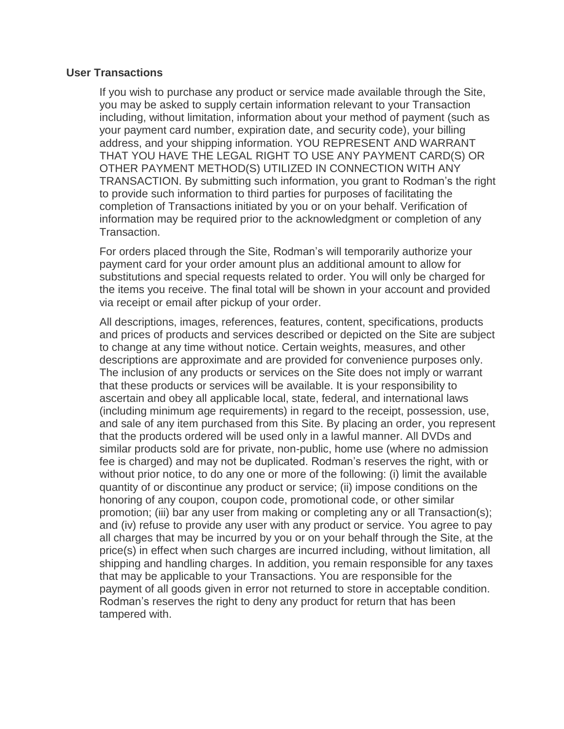#### **User Transactions**

If you wish to purchase any product or service made available through the Site, you may be asked to supply certain information relevant to your Transaction including, without limitation, information about your method of payment (such as your payment card number, expiration date, and security code), your billing address, and your shipping information. YOU REPRESENT AND WARRANT THAT YOU HAVE THE LEGAL RIGHT TO USE ANY PAYMENT CARD(S) OR OTHER PAYMENT METHOD(S) UTILIZED IN CONNECTION WITH ANY TRANSACTION. By submitting such information, you grant to Rodman's the right to provide such information to third parties for purposes of facilitating the completion of Transactions initiated by you or on your behalf. Verification of information may be required prior to the acknowledgment or completion of any Transaction.

For orders placed through the Site, Rodman's will temporarily authorize your payment card for your order amount plus an additional amount to allow for substitutions and special requests related to order. You will only be charged for the items you receive. The final total will be shown in your account and provided via receipt or email after pickup of your order.

All descriptions, images, references, features, content, specifications, products and prices of products and services described or depicted on the Site are subject to change at any time without notice. Certain weights, measures, and other descriptions are approximate and are provided for convenience purposes only. The inclusion of any products or services on the Site does not imply or warrant that these products or services will be available. It is your responsibility to ascertain and obey all applicable local, state, federal, and international laws (including minimum age requirements) in regard to the receipt, possession, use, and sale of any item purchased from this Site. By placing an order, you represent that the products ordered will be used only in a lawful manner. All DVDs and similar products sold are for private, non-public, home use (where no admission fee is charged) and may not be duplicated. Rodman's reserves the right, with or without prior notice, to do any one or more of the following: (i) limit the available quantity of or discontinue any product or service; (ii) impose conditions on the honoring of any coupon, coupon code, promotional code, or other similar promotion; (iii) bar any user from making or completing any or all Transaction(s); and (iv) refuse to provide any user with any product or service. You agree to pay all charges that may be incurred by you or on your behalf through the Site, at the price(s) in effect when such charges are incurred including, without limitation, all shipping and handling charges. In addition, you remain responsible for any taxes that may be applicable to your Transactions. You are responsible for the payment of all goods given in error not returned to store in acceptable condition. Rodman's reserves the right to deny any product for return that has been tampered with.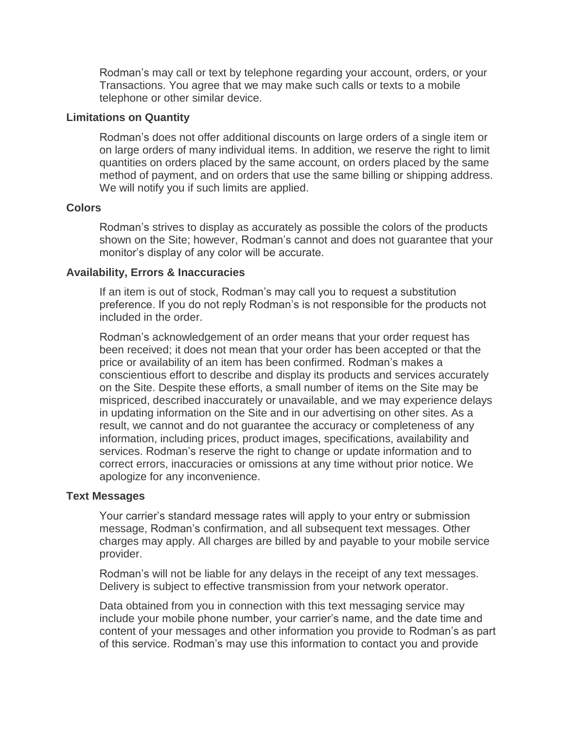Rodman's may call or text by telephone regarding your account, orders, or your Transactions. You agree that we may make such calls or texts to a mobile telephone or other similar device.

### **Limitations on Quantity**

Rodman's does not offer additional discounts on large orders of a single item or on large orders of many individual items. In addition, we reserve the right to limit quantities on orders placed by the same account, on orders placed by the same method of payment, and on orders that use the same billing or shipping address. We will notify you if such limits are applied.

### **Colors**

Rodman's strives to display as accurately as possible the colors of the products shown on the Site; however, Rodman's cannot and does not guarantee that your monitor's display of any color will be accurate.

### **Availability, Errors & Inaccuracies**

If an item is out of stock, Rodman's may call you to request a substitution preference. If you do not reply Rodman's is not responsible for the products not included in the order.

Rodman's acknowledgement of an order means that your order request has been received; it does not mean that your order has been accepted or that the price or availability of an item has been confirmed. Rodman's makes a conscientious effort to describe and display its products and services accurately on the Site. Despite these efforts, a small number of items on the Site may be mispriced, described inaccurately or unavailable, and we may experience delays in updating information on the Site and in our advertising on other sites. As a result, we cannot and do not guarantee the accuracy or completeness of any information, including prices, product images, specifications, availability and services. Rodman's reserve the right to change or update information and to correct errors, inaccuracies or omissions at any time without prior notice. We apologize for any inconvenience.

#### **Text Messages**

Your carrier's standard message rates will apply to your entry or submission message, Rodman's confirmation, and all subsequent text messages. Other charges may apply. All charges are billed by and payable to your mobile service provider.

Rodman's will not be liable for any delays in the receipt of any text messages. Delivery is subject to effective transmission from your network operator.

Data obtained from you in connection with this text messaging service may include your mobile phone number, your carrier's name, and the date time and content of your messages and other information you provide to Rodman's as part of this service. Rodman's may use this information to contact you and provide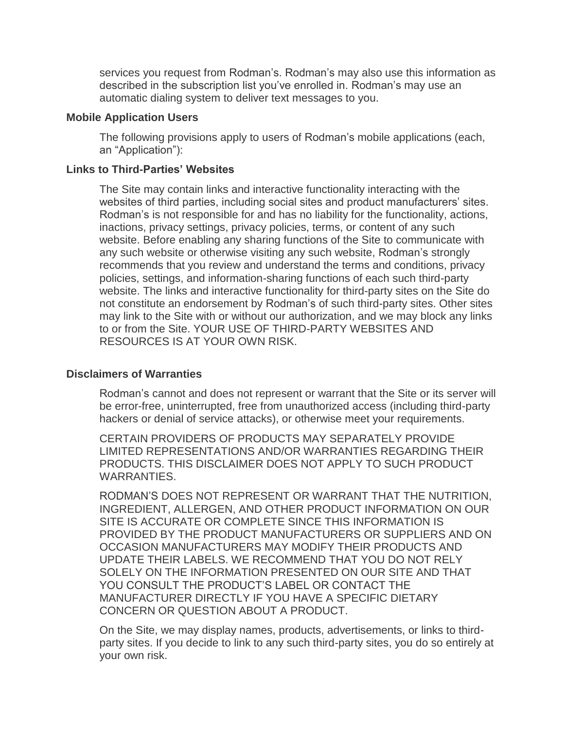services you request from Rodman's. Rodman's may also use this information as described in the subscription list you've enrolled in. Rodman's may use an automatic dialing system to deliver text messages to you.

### **Mobile Application Users**

The following provisions apply to users of Rodman's mobile applications (each, an "Application"):

#### **Links to Third-Parties' Websites**

The Site may contain links and interactive functionality interacting with the websites of third parties, including social sites and product manufacturers' sites. Rodman's is not responsible for and has no liability for the functionality, actions, inactions, privacy settings, privacy policies, terms, or content of any such website. Before enabling any sharing functions of the Site to communicate with any such website or otherwise visiting any such website, Rodman's strongly recommends that you review and understand the terms and conditions, privacy policies, settings, and information-sharing functions of each such third-party website. The links and interactive functionality for third-party sites on the Site do not constitute an endorsement by Rodman's of such third-party sites. Other sites may link to the Site with or without our authorization, and we may block any links to or from the Site. YOUR USE OF THIRD-PARTY WEBSITES AND RESOURCES IS AT YOUR OWN RISK.

#### **Disclaimers of Warranties**

Rodman's cannot and does not represent or warrant that the Site or its server will be error-free, uninterrupted, free from unauthorized access (including third-party hackers or denial of service attacks), or otherwise meet your requirements.

CERTAIN PROVIDERS OF PRODUCTS MAY SEPARATELY PROVIDE LIMITED REPRESENTATIONS AND/OR WARRANTIES REGARDING THEIR PRODUCTS. THIS DISCLAIMER DOES NOT APPLY TO SUCH PRODUCT WARRANTIES.

RODMAN'S DOES NOT REPRESENT OR WARRANT THAT THE NUTRITION, INGREDIENT, ALLERGEN, AND OTHER PRODUCT INFORMATION ON OUR SITE IS ACCURATE OR COMPLETE SINCE THIS INFORMATION IS PROVIDED BY THE PRODUCT MANUFACTURERS OR SUPPLIERS AND ON OCCASION MANUFACTURERS MAY MODIFY THEIR PRODUCTS AND UPDATE THEIR LABELS. WE RECOMMEND THAT YOU DO NOT RELY SOLELY ON THE INFORMATION PRESENTED ON OUR SITE AND THAT YOU CONSULT THE PRODUCT'S LABEL OR CONTACT THE MANUFACTURER DIRECTLY IF YOU HAVE A SPECIFIC DIETARY CONCERN OR QUESTION ABOUT A PRODUCT.

On the Site, we may display names, products, advertisements, or links to thirdparty sites. If you decide to link to any such third-party sites, you do so entirely at your own risk.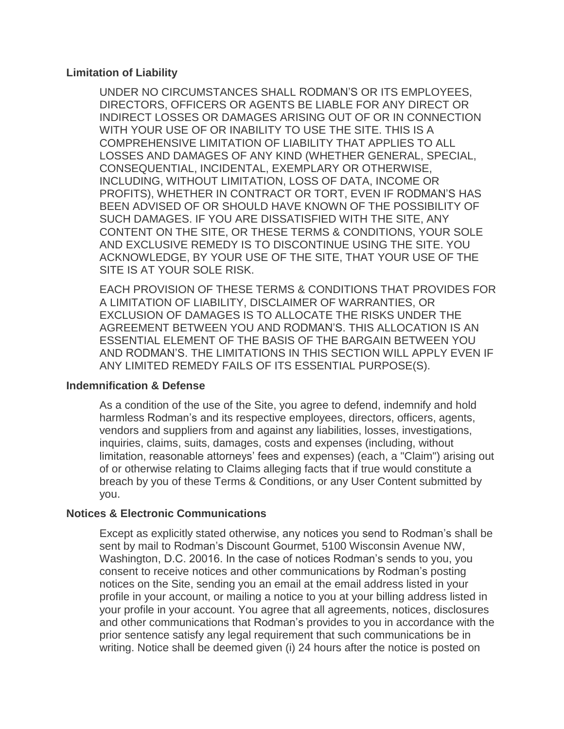### **Limitation of Liability**

UNDER NO CIRCUMSTANCES SHALL RODMAN'S OR ITS EMPLOYEES, DIRECTORS, OFFICERS OR AGENTS BE LIABLE FOR ANY DIRECT OR INDIRECT LOSSES OR DAMAGES ARISING OUT OF OR IN CONNECTION WITH YOUR USE OF OR INABILITY TO USE THE SITE. THIS IS A COMPREHENSIVE LIMITATION OF LIABILITY THAT APPLIES TO ALL LOSSES AND DAMAGES OF ANY KIND (WHETHER GENERAL, SPECIAL, CONSEQUENTIAL, INCIDENTAL, EXEMPLARY OR OTHERWISE, INCLUDING, WITHOUT LIMITATION, LOSS OF DATA, INCOME OR PROFITS), WHETHER IN CONTRACT OR TORT, EVEN IF RODMAN'S HAS BEEN ADVISED OF OR SHOULD HAVE KNOWN OF THE POSSIBILITY OF SUCH DAMAGES. IF YOU ARE DISSATISFIED WITH THE SITE, ANY CONTENT ON THE SITE, OR THESE TERMS & CONDITIONS, YOUR SOLE AND EXCLUSIVE REMEDY IS TO DISCONTINUE USING THE SITE. YOU ACKNOWLEDGE, BY YOUR USE OF THE SITE, THAT YOUR USE OF THE SITE IS AT YOUR SOLE RISK.

EACH PROVISION OF THESE TERMS & CONDITIONS THAT PROVIDES FOR A LIMITATION OF LIABILITY, DISCLAIMER OF WARRANTIES, OR EXCLUSION OF DAMAGES IS TO ALLOCATE THE RISKS UNDER THE AGREEMENT BETWEEN YOU AND RODMAN'S. THIS ALLOCATION IS AN ESSENTIAL ELEMENT OF THE BASIS OF THE BARGAIN BETWEEN YOU AND RODMAN'S. THE LIMITATIONS IN THIS SECTION WILL APPLY EVEN IF ANY LIMITED REMEDY FAILS OF ITS ESSENTIAL PURPOSE(S).

### **Indemnification & Defense**

As a condition of the use of the Site, you agree to defend, indemnify and hold harmless Rodman's and its respective employees, directors, officers, agents, vendors and suppliers from and against any liabilities, losses, investigations, inquiries, claims, suits, damages, costs and expenses (including, without limitation, reasonable attorneys' fees and expenses) (each, a "Claim") arising out of or otherwise relating to Claims alleging facts that if true would constitute a breach by you of these Terms & Conditions, or any User Content submitted by you.

#### **Notices & Electronic Communications**

Except as explicitly stated otherwise, any notices you send to Rodman's shall be sent by mail to Rodman's Discount Gourmet, 5100 Wisconsin Avenue NW, Washington, D.C. 20016. In the case of notices Rodman's sends to you, you consent to receive notices and other communications by Rodman's posting notices on the Site, sending you an email at the email address listed in your profile in your account, or mailing a notice to you at your billing address listed in your profile in your account. You agree that all agreements, notices, disclosures and other communications that Rodman's provides to you in accordance with the prior sentence satisfy any legal requirement that such communications be in writing. Notice shall be deemed given (i) 24 hours after the notice is posted on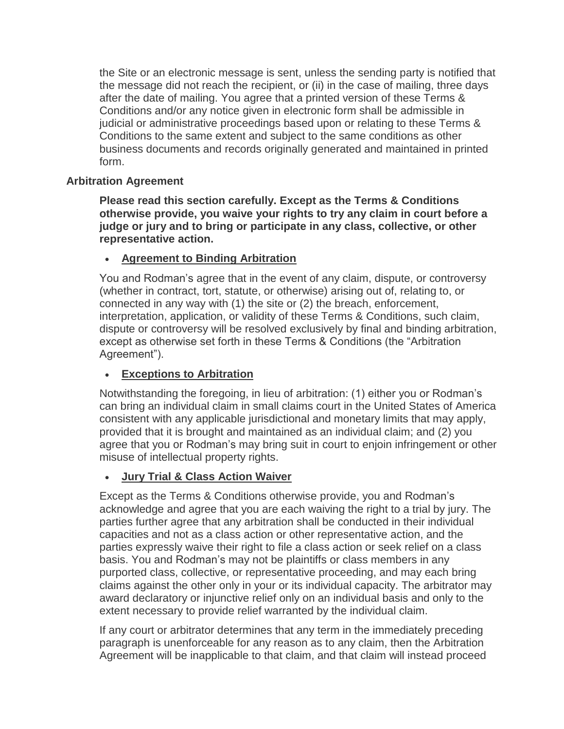the Site or an electronic message is sent, unless the sending party is notified that the message did not reach the recipient, or (ii) in the case of mailing, three days after the date of mailing. You agree that a printed version of these Terms & Conditions and/or any notice given in electronic form shall be admissible in judicial or administrative proceedings based upon or relating to these Terms & Conditions to the same extent and subject to the same conditions as other business documents and records originally generated and maintained in printed form.

### **Arbitration Agreement**

**Please read this section carefully. Except as the Terms & Conditions otherwise provide, you waive your rights to try any claim in court before a judge or jury and to bring or participate in any class, collective, or other representative action.**

# **Agreement to Binding Arbitration**

You and Rodman's agree that in the event of any claim, dispute, or controversy (whether in contract, tort, statute, or otherwise) arising out of, relating to, or connected in any way with (1) the site or (2) the breach, enforcement, interpretation, application, or validity of these Terms & Conditions, such claim, dispute or controversy will be resolved exclusively by final and binding arbitration, except as otherwise set forth in these Terms & Conditions (the "Arbitration Agreement").

# **Exceptions to Arbitration**

Notwithstanding the foregoing, in lieu of arbitration: (1) either you or Rodman's can bring an individual claim in small claims court in the United States of America consistent with any applicable jurisdictional and monetary limits that may apply, provided that it is brought and maintained as an individual claim; and (2) you agree that you or Rodman's may bring suit in court to enjoin infringement or other misuse of intellectual property rights.

# **Jury Trial & Class Action Waiver**

Except as the Terms & Conditions otherwise provide, you and Rodman's acknowledge and agree that you are each waiving the right to a trial by jury. The parties further agree that any arbitration shall be conducted in their individual capacities and not as a class action or other representative action, and the parties expressly waive their right to file a class action or seek relief on a class basis. You and Rodman's may not be plaintiffs or class members in any purported class, collective, or representative proceeding, and may each bring claims against the other only in your or its individual capacity. The arbitrator may award declaratory or injunctive relief only on an individual basis and only to the extent necessary to provide relief warranted by the individual claim.

If any court or arbitrator determines that any term in the immediately preceding paragraph is unenforceable for any reason as to any claim, then the Arbitration Agreement will be inapplicable to that claim, and that claim will instead proceed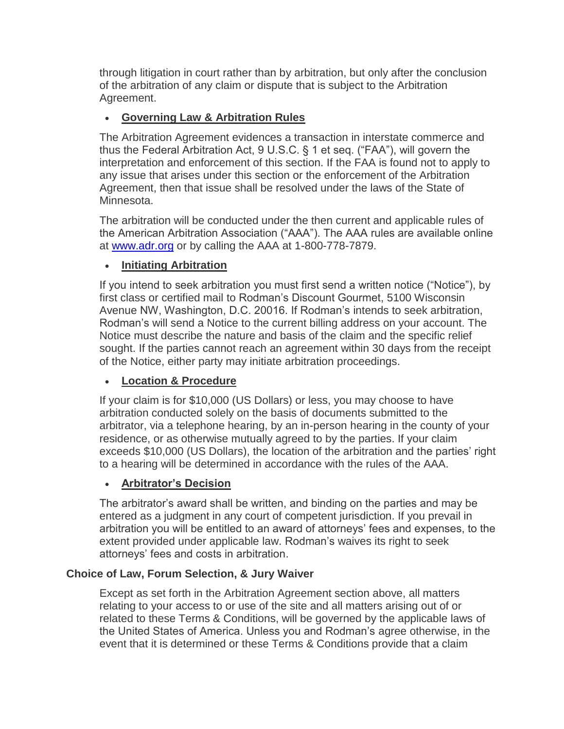through litigation in court rather than by arbitration, but only after the conclusion of the arbitration of any claim or dispute that is subject to the Arbitration Agreement.

# **Governing Law & Arbitration Rules**

The Arbitration Agreement evidences a transaction in interstate commerce and thus the Federal Arbitration Act, 9 U.S.C. § 1 et seq. ("FAA"), will govern the interpretation and enforcement of this section. If the FAA is found not to apply to any issue that arises under this section or the enforcement of the Arbitration Agreement, then that issue shall be resolved under the laws of the State of Minnesota.

The arbitration will be conducted under the then current and applicable rules of the American Arbitration Association ("AAA"). The AAA rules are available online at [www.adr.org](http://www.adr.org/) or by calling the AAA at 1-800-778-7879.

# **Initiating Arbitration**

If you intend to seek arbitration you must first send a written notice ("Notice"), by first class or certified mail to Rodman's Discount Gourmet, 5100 Wisconsin Avenue NW, Washington, D.C. 20016. If Rodman's intends to seek arbitration, Rodman's will send a Notice to the current billing address on your account. The Notice must describe the nature and basis of the claim and the specific relief sought. If the parties cannot reach an agreement within 30 days from the receipt of the Notice, either party may initiate arbitration proceedings.

# **Location & Procedure**

If your claim is for \$10,000 (US Dollars) or less, you may choose to have arbitration conducted solely on the basis of documents submitted to the arbitrator, via a telephone hearing, by an in-person hearing in the county of your residence, or as otherwise mutually agreed to by the parties. If your claim exceeds \$10,000 (US Dollars), the location of the arbitration and the parties' right to a hearing will be determined in accordance with the rules of the AAA.

# **Arbitrator's Decision**

The arbitrator's award shall be written, and binding on the parties and may be entered as a judgment in any court of competent jurisdiction. If you prevail in arbitration you will be entitled to an award of attorneys' fees and expenses, to the extent provided under applicable law. Rodman's waives its right to seek attorneys' fees and costs in arbitration.

# **Choice of Law, Forum Selection, & Jury Waiver**

Except as set forth in the Arbitration Agreement section above, all matters relating to your access to or use of the site and all matters arising out of or related to these Terms & Conditions, will be governed by the applicable laws of the United States of America. Unless you and Rodman's agree otherwise, in the event that it is determined or these Terms & Conditions provide that a claim